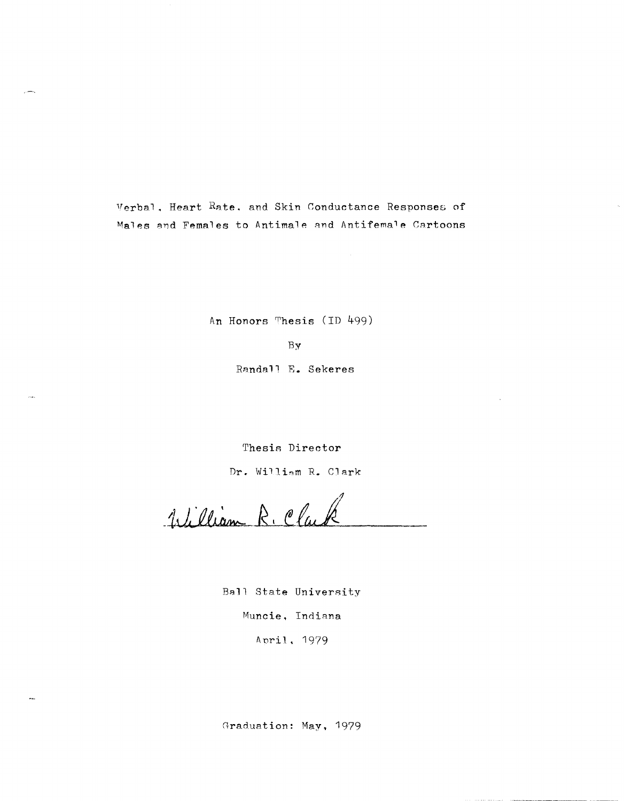Verbal, Heart Rate, and Skin Conductance Responses of Males and Females to Antimale and Antifemale Cartoons

يتمس

 $\sim$ 

 $\overline{\phantom{a}}$ 

An Honors Thesis (ID 499)

By

Randall E. Sekeres

 $\mathcal{A}^{\pm}$ 

Thesis Director

Dr. William R. Clark

William R. Clark

Ball State University Muncie, Indiana April, 1979

Graduation: May, 1979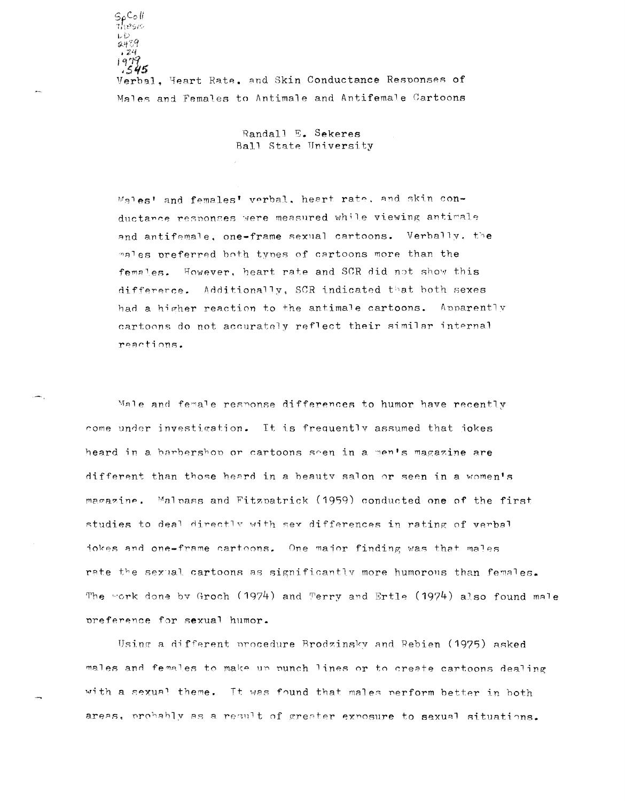Verbal, Heart Rate, and Skin Conductance Responses of Males and Females to Antimale and Antifemale Cartoons

SpColl<br>Thesis

 $124$ 

إستعلل

Randall E. Sekeres Ball State University

Males' and females' verbal, heart rate, and skin conductance responses were measured while viewing antimale and antifemale, one-frame sexual cartoons. Verbally, the males preferred both types of cartoons more than the females. However, heart rate and SCR did not show this difference. Additionally, SCR indicated that both sexes had a higher reaction to the antimale cartoons. Apparently cartoons do not accurately reflect their similar internal reactions.

Male and female response differences to humor have recently come under investigation. It is frequently assumed that jokes heard in a barbershop or cartoons seen in a men's magazine are different than those heard in a beauty salon or seen in a women's magazine. Malpass and Fitzpatrick (1959) conducted one of the first studies to deal directly with sex differences in rating of verbal iokes and one-frame carteons. One major finding was that males rate the sexual cartoons as significantly more humorous than females. The work done by Groch (1974) and Terry and Ertle (1974) also found male preference for sexual humor.

Using a different procedure Brodzinsky and Rebien (1975) asked males and females to make up nunch lines or to create cartoons dealing with a sexual theme. It was found that males perform better in both areas, probably as a result of greater exposure to sexual situations.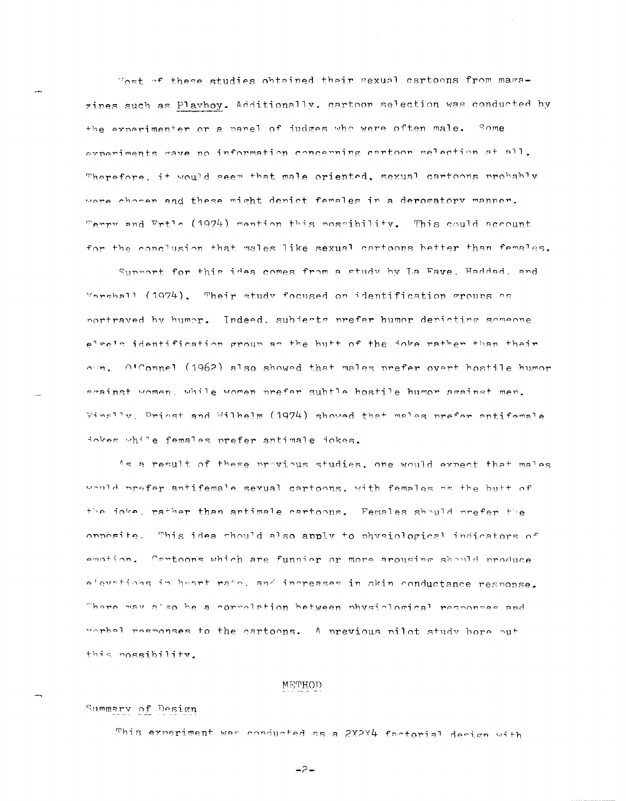Most of these studies obtained their sexual cartoons from magazines such as Playboy. Additionally, cartoon selection was conducted by the experimenter or a panel of judges who were often male. Some experiments cave no information concerning cartoon selection at all. Therefore, it would seem that male oriented, sexual cartoons probably were chosen and these might denict females in a derogatory manner. Terry and Ertle (1974) mention this nossibility. This could account for the conclusion that males like sexual cartoons better than females.

Support for this idea comes from a study by La Fave. Haddad, and Marshall (1974). Their study focused on identification groups as nortraved by humar. Indeed, subjects prefer humor depicting someone algets identification group as the butt of the joke rather than their oun. O'Connel (1962) also showed that males prefer overt hostile humor against women, while women prefer subtle hostile humor against men. Finally, Priest and Wilhelm (1974) showed that males prefer antifemale iokes while females prefer antimale iokes.

As a result of these provious studies, one would expect that males would prefer antifemale sexual cartoons, with females as the butt of the ioke, rather than antimale cartoons. Females should prefer the onposite. This idea should also apply to physiological indicators of emotion. Certoons which are funnier or more arousing should produce elevations in heart rate, and increases in skin conductance response. There may also be a correlation between physiological responses and workel responses to the cartoons. A previous pilot study bore out this nossibility.

# METHOD

#### Summary of Design

This experiment was conducted as a 2X2X4 factorial design with

 $-2-$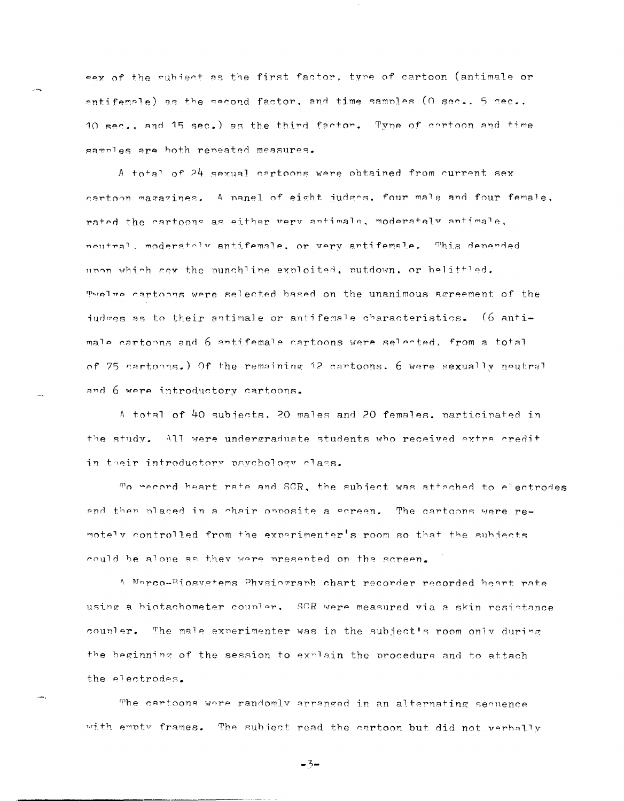sex of the subject as the first factor, type of cartoon (antimale or antifemale) as the second factor, and time samples  $(0 \text{ sec.}, 5 \text{ sec.})$ 10 sec., and 15 sec.) as the third factor. Type of cartoon and time samples are both repeated measures.

A total of 24 sexual cartoons were obtained from current sex cartoon magazines. A panel of eight judges, four male and four female, rated the cartoons as either very antimale, moderately antimale. neutral, moderatoly antifemale, or very artifemale. This depended upon which sex the punchline exploited, putdown, or belittled. Twelve cartoons were selected based on the unanimous agreement of the judges as to their antimale or antifemale characteristics. (6 antimale cartoons and 6 antifemale cartoons were selected. from a total of 75 cartoons.) Of the remaining 12 cartoons. 6 were sexually neutral and 6 were introductory cartoons.

A total of 40 subjects, 20 males and 20 females, participated in the study. All were undergraduate students who received extra credit in their introductory psychology class.

To record heart rate and SCR, the subject was attached to electrodes and then placed in a chair opposite a screen. The cartoons were remotely controlled from the experimenter's room so that the subjects could be alone as they were presented on the screen.

A Narco-Biosystems Physicaraph chart recorder recorded heart rate using a biotachometer coupler. SCR were measured via a skin resistance coupler. The male experimenter was in the subject's room only during the beginning of the session to explain the procedure and to attach the electrodes.

The cartoons were randomly arranged in an alternating sequence with empty frames. The subject read the cartoon but did not verbally

$$
-3-
$$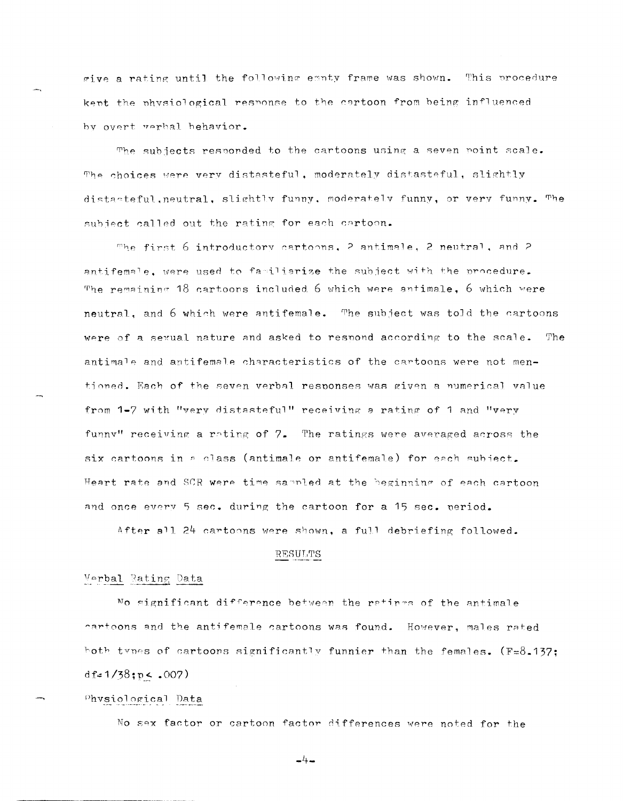give a rating until the following empty frame was shown. This procedure kept the physiological response to the cartoon from being influenced by overt verbal behavior.

The subjects responded to the cartoons using a seven point scale. The choices were very distasteful, moderately distasteful, slightly distasteful.neutral. slightly funny, moderately funny, or very funny. The subject called out the rating for each cartoon.

The first 6 introductory cartoons, 2 antimale, 2 neutral, and 2 antifemale, were used to familiarize the subject with the procedure. The remaining 18 cartoons included 6 which were antimale. 6 which were neutral, and 6 which were antifemale. The subject was told the cartoons were of a sexual nature and asked to respond according to the scale.  $Tha$ antimale and antifemale characteristics of the cartoons were not mentioned. Each of the seven verbal responses was given a numerical value from 1-7 with "very distasteful" receiving a rating of 1 and "very funny" receiving a rating of 7. The ratings were averaged across the six cartoons in a class (antimale or antifemale) for each subject. Heart rate and SCR were time sampled at the beginning of each cartoon and once every 5 sec. during the cartoon for a 15 sec. period.

After all 24 cartoons were shown, a full debriefing followed.

## RESULTS

## Verbal Rating Data

No significant difference between the ratings of the antimale cartoons and the antifemale cartoons was found. However, males rated both types of cartoons significantly funnier than the females.  $(F=8.137)$ : df= $1/38$ ; p< .007)

Physiological Data

No sex factor or cartoon factor differences were noted for the

 $-4-$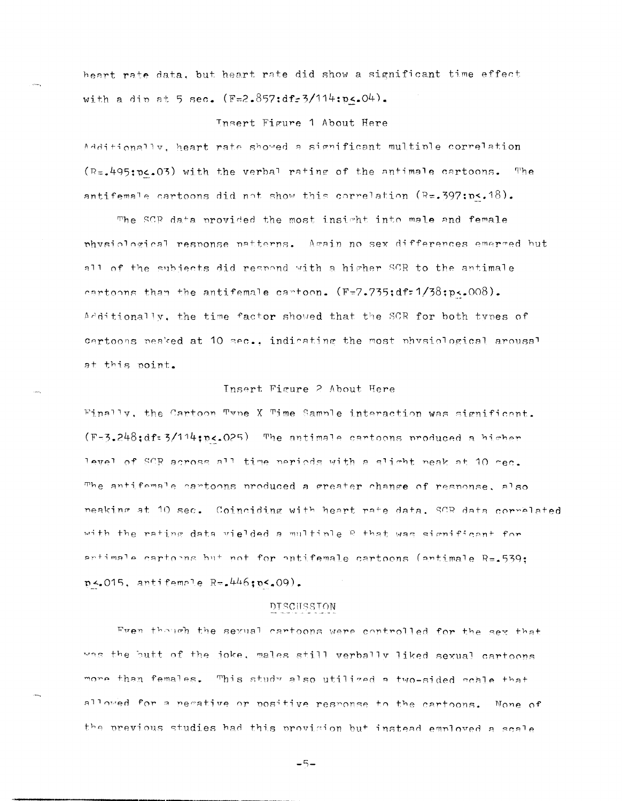heart rate data, but heart rate did show a significant time effect with a dip at 5 sec.  $(F=2.857; df=3/114; p<.04)$ .

## Insert Figure 1 About Here

Additionally, heart rate showed a significant multiple correlation  $(R = 495; p < 03)$  with the verbal rating of the antimale cartoons. The antifemale cartoons did not show this correlation (R=.397; p<. 18).

The SCR data provided the most insight into male and female physiological response patterns. Again no sex differences emerged but all of the subjects did respond with a higher SCR to the antimale cartoons than the antifemale cartoon.  $(F=7.735; df=1/38; p&lt.008)$ . Additionally, the time factor showed that the SCR for both types of certoons peaked at 10 sec., indicating the most physiological arousal at this point.

#### Insert Figure 2 About Here

Finally, the Cartoon Type X Time Sample interaction was significant.  $(F-3.248; df=3/114; p<0.025)$  The antimale cartoons produced a higher level of SCR across all time neriods with a slight neak at 10 sec. The antifemale cartoons produced a greater change of response, also neaking at 10 sec. Coinciding with heart rate data. SCR data correlated with the rating data vielded a multiple R that was significant for artimale cartorns but not for entifemale cartoons (antimale R=.539:  $p$ <.015, antifemale  $R = 446p$ ;  $p$ <.09).

# DISCUSSION

Even though the sexual cartoons were controlled for the sex that was the butt of the joke, males still verbally liked sexual cartoons more than females. This study also utilized a two-sided scale that allowed for a negative or positive response to the cartoons. None of the previous studies had this provision but instead employed a scale

 $-5-$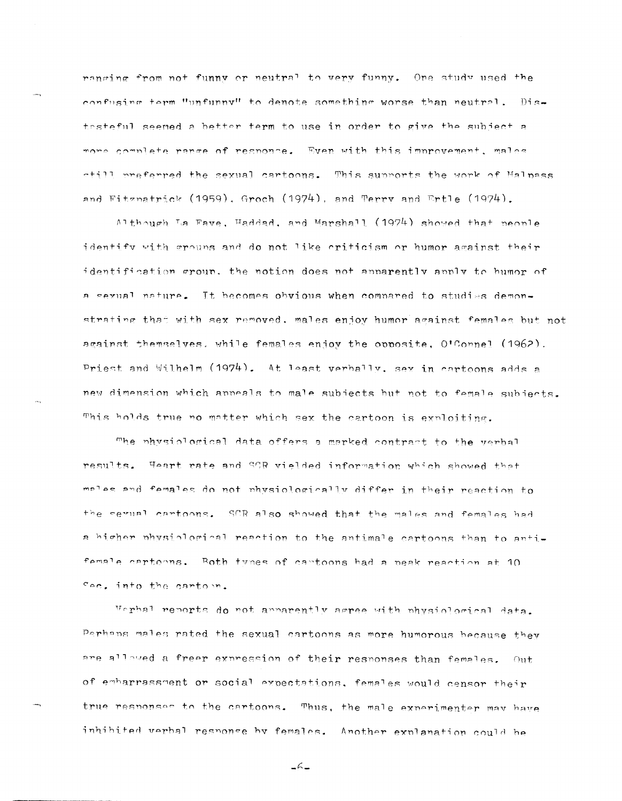ranging from not funny or neutral to very funny. One study used the confusing term "unfunny" to denote something worse than neutral. Distesteful seemed a better term to use in order to give the subject a more complete range of response. Even with this improvement, males still preferred the sexual cartoons. This supports the work of Malpass and Fitznatrick (1959), Groch (1974), and Terry and Ertle (1974).

Although La Fave, Haddad, and Marshall (1974) showed that neonle identify with grouns and do not like criticism or humor against their identification group, the notion does not annarently apply to humor of a sexual nature. It becomes obvious when compared to studies demonstrating that with sex removed, males enjoy humor against females but not against themselves. while females enjoy the opposite, O'Connel (1962). Priest and Wilhelm (1974). At least verbally, sex in cartoons adds a new dimension which appeals to male subjects but not to female subjects. This holds true no matter which sex the cartoon is exploiting.

The physiological data offers a marked contract to the verbal results. Heart rate and SCR vielded information which showed that males and females do not physiologically differ in their reaction to the serual cartoons. SCR also showed that the males and females had a higher physiological reaction to the antimale cartoons than to antifemale cartoons. Both types of cartoons had a peak reaction at 10 Sec. into the cartoon.

Verbal reports do not annarently agree with physiological data. Perhans males rated the sexual cartoons as more humorous because they are allowed a freer expression of their responses than females. Out of embarrassment or social expectations, females would censor their true responses to the cartoons. Thus, the male experimenter may have inhibited verbal response by females. Another explanation could be

 $-6-$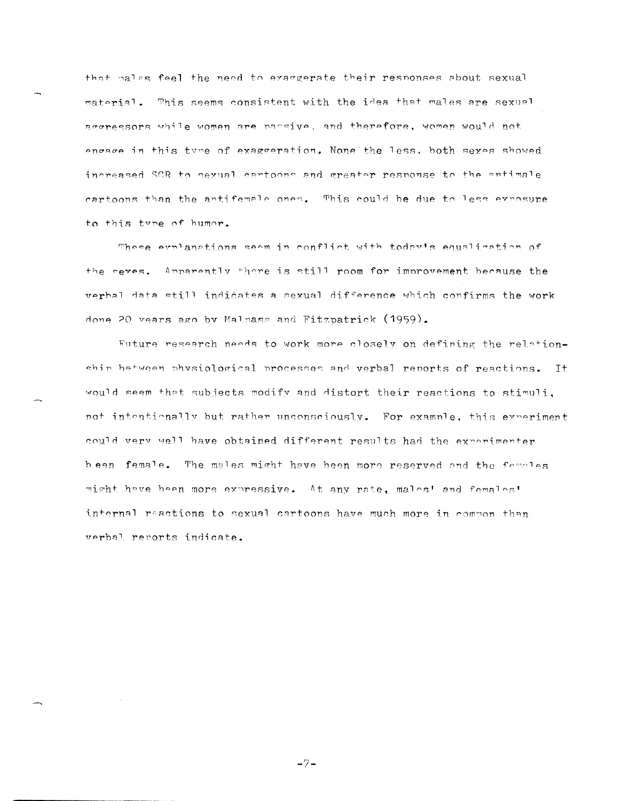that males feel the need to exaggerate their responses about sexual material. This seems consistent with the idea that males are sexual accressors while women are parsive, and therefore, women would not engage in this type of exaggeration. None the less, both sexes showed increased SCR to sexual cartoons and greater response to the entimale cartoons than the antifemale ones. This could be due to less exposure to this type of humor.

These evolunctions seem in conflict with today's equalization of the sexes. Apparently there is still room for improvement because the verbal data still indicates a sexual difference which confirms the work done 20 vears ago by Malpass and Fitzpatrick (1959).

Future research needs to work more closely on defining the relationshin between physiological processes and verbal reports of reactions. It would seem that subjects modify and distort their reactions to stimuli, not intentionally but rather unconsciously. For example, this experiment could very well have obtained different results had the experimenter been female. The males might have been more reserved and the females might have been more expressive. At any rate, males' and females' internal reactions to sexual cartoons have much more in common than verbal reports indicate.

 $-7-$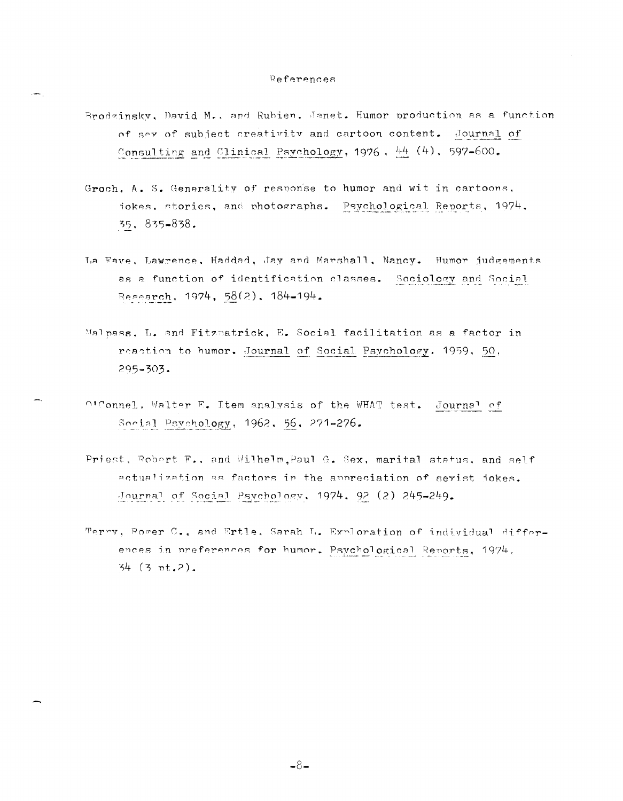Jщ.

يسر

- Brodzinsky, David M., and Rubien, Janet. Humor production as a function of sex of subject creativity and cartoon content. Journal of Consulting and Clinical Psychology,  $1976$ ,  $44$  (4), 597-600.
- Groch, A. S. Generality of response to humor and wit in cartoons. iokes. stories, and photographs. Psychological Reports, 1974. 35. 835-838.
- La Fave, Lawrence, Haddad, Jay and Marshall, Nancy. Humor judgements as a function of identification classes. Sociology and Social Research, 1974, 58(2), 184-194.
- Malpass, L. and Fitzmatrick, E. Social facilitation as a factor in reaction to humor. Journal of Social Psychology. 1959, 50.  $295 - 303.$
- O'Connel. Walter E. Item analysis of the WHAT test. Journal of Social Psychology, 1962, 56, 271-276.
- Priest, Robert F., and Wilhelm, Paul G. Sex, marital status, and self actualization as factors in the appreciation of sexist iokes. Journal of Social Psychology, 1974, 92 (2) 245-249.
- Terry, Poger C., and Ertle, Sarah L. Exploration of individual differences in preferences for humor. Psychological Reports, 1974.  $34(3 \text{ pt.2}).$

 $-8-$